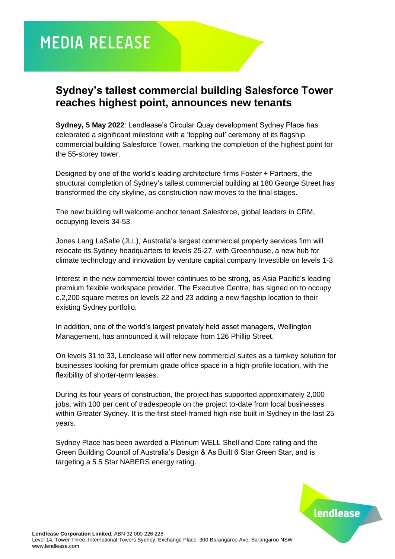# **MEDIA RELEASE**

## **Sydney's tallest commercial building Salesforce Tower reaches highest point, announces new tenants**

**Sydney, 5 May 2022**: Lendlease's Circular Quay development Sydney Place has celebrated a significant milestone with a 'topping out' ceremony of its flagship commercial building Salesforce Tower, marking the completion of the highest point for the 55-storey tower.

Designed by one of the world's leading architecture firms Foster + Partners, the structural completion of Sydney's tallest commercial building at 180 George Street has transformed the city skyline, as construction now moves to the final stages.

The new building will welcome anchor tenant Salesforce, global leaders in CRM, occupying levels 34-53.

Jones Lang LaSalle (JLL), Australia's largest commercial property services firm will relocate its Sydney headquarters to levels 25-27, with Greenhouse, a new hub for climate technology and innovation by venture capital company Investible on levels 1-3.

Interest in the new commercial tower continues to be strong, as Asia Pacific's leading premium flexible workspace provider, The Executive Centre, has signed on to occupy c.2,200 square metres on levels 22 and 23 adding a new flagship location to their existing Sydney portfolio.

In addition, one of the world's largest privately held asset managers, Wellington Management, has announced it will relocate from 126 Phillip Street.

On levels 31 to 33, Lendlease will offer new commercial suites as a turnkey solution for businesses looking for premium grade office space in a high-profile location, with the flexibility of shorter-term leases.

During its four years of construction, the project has supported approximately 2,000 jobs, with 100 per cent of tradespeople on the project to-date from local businesses within Greater Sydney. It is the first steel-framed high-rise built in Sydney in the last 25 years.

Sydney Place has been awarded a Platinum WELL Shell and Core rating and the Green Building Council of Australia's Design & As Built 6 Star Green Star, and is targeting a 5.5 Star NABERS energy rating.



lendlease